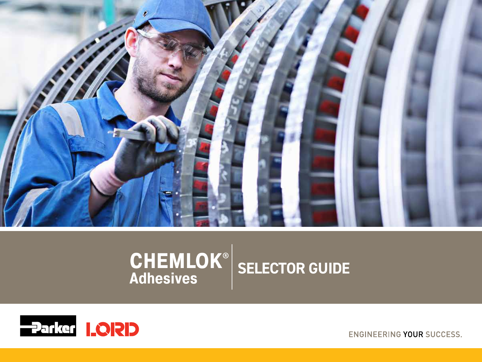

# $\mathbf{CHEMLOK}^{\circ}$  SELECTOR GUIDE **Adhesives**



**ENGINEERING YOUR SUCCESS.**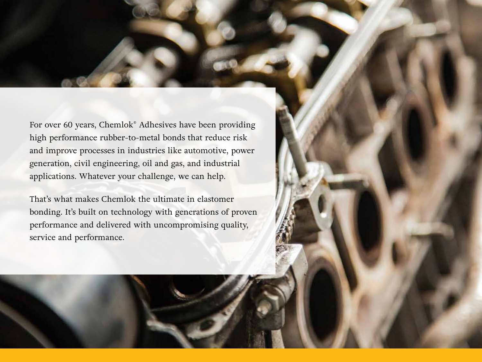For over 60 years, Chemlok® Adhesives have been providing high performance rubber-to-metal bonds that reduce risk and improve processes in industries like automotive, power generation, civil engineering, oil and gas, and industrial applications. Whatever your challenge, we can help.

That's what makes Chemlok the ultimate in elastomer bonding. It's built on technology with generations of proven performance and delivered with uncompromising quality, service and performance.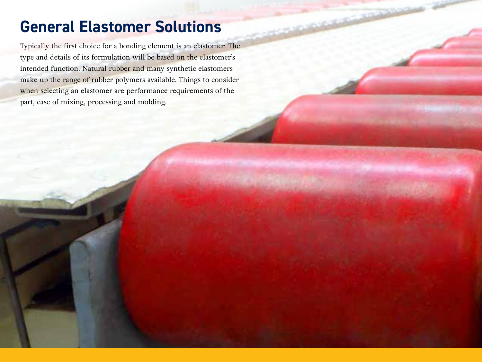### **General Elastomer Solutions**

Typically the first choice for a bonding element is an elastomer. The type and details of its formulation will be based on the elastomer's intended function. Natural rubber and many synthetic elastomers make up the range of rubber polymers available. Things to consider when selecting an elastomer are performance requirements of the part, ease of mixing, processing and molding.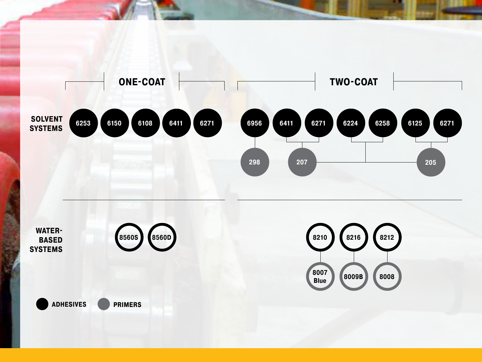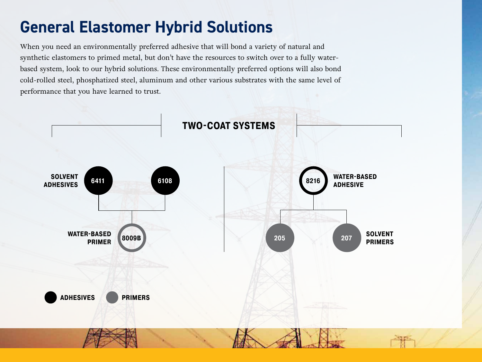### **General Elastomer Hybrid Solutions**

When you need an environmentally preferred adhesive that will bond a variety of natural and synthetic elastomers to primed metal, but don't have the resources to switch over to a fully waterbased system, look to our hybrid solutions. These environmentally preferred options will also bond cold-rolled steel, phosphatized steel, aluminum and other various substrates with the same level of performance that you have learned to trust.

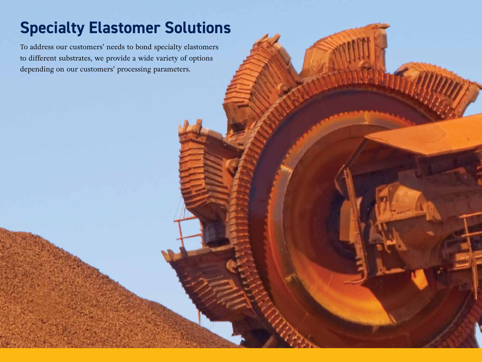## **Specialty Elastomer Solutions**

To address our customers' needs to bond specialty elastomers to different substrates, we provide a wide variety of options depending on our customers' processing parameters.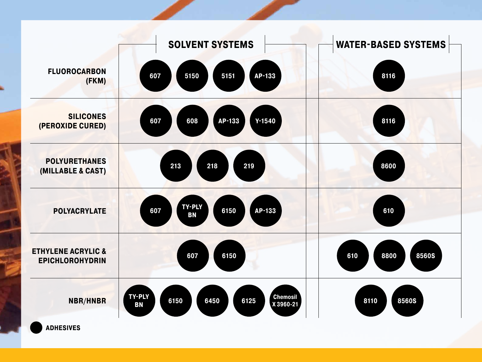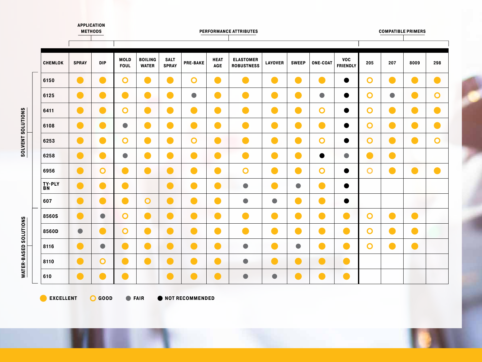|                | <b>APPLICATION</b><br><b>METHODS</b> |                              |                            |                                 |                                                                                                                      |                 |                    | PERFORMANCE ATTRIBUTES                |                |                          |                 |                                                   |                |           | <b>COMPATIBLE PRIMERS</b> |                |
|----------------|--------------------------------------|------------------------------|----------------------------|---------------------------------|----------------------------------------------------------------------------------------------------------------------|-----------------|--------------------|---------------------------------------|----------------|--------------------------|-----------------|---------------------------------------------------|----------------|-----------|---------------------------|----------------|
| <b>CHEMLOK</b> | <b>SPRAY</b>                         | <b>DIP</b>                   | <b>MOLD</b><br><b>FOUL</b> | <b>BOILING</b><br><b>WATER</b>  | <b>SALT</b><br><b>SPRAY</b>                                                                                          | <b>PRE-BAKE</b> | <b>HEAT</b><br>AGE | <b>ELASTOMER</b><br><b>ROBUSTNESS</b> | <b>LAYOVER</b> | <b>SWEEP</b>             | <b>ONE-COAT</b> | <b>VOC</b><br><b>FRIENDLY</b>                     | 205            | 207       | 8009                      | 298            |
| 6150           | $\blacksquare$                       | m.                           | $\mathbf O$                | eri<br>Kalendar                 |                                                                                                                      | $\mathbf O$     | $\blacksquare$     | $\bullet$                             | $\blacksquare$ | $\blacksquare$           | o a             | $\bullet$                                         | $\mathbf O$    | $\bullet$ | $\bullet$                 | $\bullet$      |
| 6125           | O                                    | a d                          | - 1                        | m.                              | <b>Service Service</b>                                                                                               | $\bullet$       | $\blacksquare$     | $\blacksquare$                        | Œ              | O                        | $\bullet$       | $\bullet$                                         | $\mathbf O$    | $\bullet$ | $\bullet$                 | $\mathbf O$    |
| 6411           | $\blacksquare$                       | $\qquad \qquad \blacksquare$ | $\mathbf O$                | $\qquad \qquad \blacksquare$    | <b>Service Service</b>                                                                                               | $\blacksquare$  | $\blacksquare$     | $\bullet$                             | $\blacksquare$ | $\bullet$                | $\mathbf O$     | $\bullet$                                         | $\mathbf O$    | $\bullet$ | $\bullet$                 | $\bullet$      |
| 6108           | $\qquad \qquad$                      | - 1                          | $\bullet$                  | $\mathcal{L}(\mathcal{A})$      | <b>Service Service</b>                                                                                               | $\blacksquare$  | $\blacksquare$     | $\bullet$                             | $\blacksquare$ | $\hspace{0.1mm}\Box$     | $\qquad \qquad$ | $\bullet$                                         | $\mathbf O$    | $\bullet$ | $\bullet$                 | $\bullet$      |
| 6253           | $\bullet$                            | $\blacksquare$               | $\overline{O}$             | $\blacksquare$                  | <b>Service Service</b>                                                                                               | $\overline{O}$  | $\bullet$          | $\bullet$                             | $\blacksquare$ | $\bullet$                | $\mathbf O$     | $\bullet$                                         | $\overline{O}$ | $\bullet$ | $\bullet$                 | $\overline{O}$ |
| 6258           | $\bullet$                            | $\qquad \qquad \blacksquare$ | $\bullet$                  | $\qquad \qquad$                 | - 1                                                                                                                  | $\bullet$       | $\bullet$          | $\bullet$                             | $\blacksquare$ | $\bullet$                | $\bullet$       | $\begin{array}{c} \bullet \\ \bullet \end{array}$ | $\bullet$      | $\bullet$ |                           |                |
| 6956           | $\bullet$                            | O                            | $\bullet$                  | $\blacksquare$                  | - 1                                                                                                                  | $\bullet$       | $\bullet$          | $\mathbf O$                           | $\bullet$      | $\bullet$                | $\mathbf O$     | $\bullet$                                         | $\mathbf O$    | $\bullet$ | $\bullet$                 | $\bullet$      |
| TY-PLY<br>BN   | $\bullet$                            | a d                          | œ                          |                                 |                                                                                                                      | o)              | $\blacksquare$     | $\bullet$                             | $\blacksquare$ | $\bullet$                | o a             | $\bullet$                                         |                |           |                           |                |
| 607            | $\bullet$                            | $\blacksquare$               | e i                        | $\mathbf O$                     | - 1                                                                                                                  | $\blacksquare$  | $\bullet$          | $\bullet$                             | $\bullet$      | $\bullet$                | œ               | $\bullet$                                         |                |           |                           |                |
| 8560S          | $\blacksquare$                       | $\bullet$                    | $\mathbf O$                | $\blacksquare$                  | e e                                                                                                                  | $\blacksquare$  | $\blacksquare$     | O                                     | $\blacksquare$ | $\bullet$                | $\bullet$       | $\bullet$                                         | $\mathbf O$    | $\bullet$ | $\bullet$                 |                |
| 8560D          | $\bullet$                            | a d                          | $\mathbf O$                | $\hspace{0.1cm} \hspace{0.1cm}$ | <b>Contract Contract Contract Contract Contract Contract Contract Contract Contract Contract Contract Contract C</b> | $\blacksquare$  | $\bullet$          | $\bullet$                             | $\bullet$      | $\overline{\phantom{a}}$ | $\bullet$       | $\bullet$                                         | $\overline{O}$ | $\bullet$ | $\bullet$                 |                |
| 8116           | $\blacksquare$                       | $\bullet$                    |                            |                                 |                                                                                                                      | $\blacksquare$  | $\blacksquare$     | $\bullet$                             | $\blacksquare$ | $\bullet$                | o a             | $\bullet$                                         | $\overline{O}$ | $\bullet$ | $\bullet$                 |                |
| 8110           | $\bullet$                            | O                            | œ                          | $\hspace{0.1cm}\Box$ )          | a a                                                                                                                  | o)              | $\bullet$          | $\bullet$                             | $\bullet$      | $\bullet$                | $\bullet$       | $\bullet$                                         |                |           |                           |                |
| 610            | a a                                  |                              | C.                         |                                 |                                                                                                                      |                 | $\blacksquare$     | $\bullet$                             | $\bullet$      |                          | e s             | $\bullet$                                         |                |           |                           |                |

SOLVENT SOLUTIONS **SOLVENT SOLUTIONS**

**WATER-BASED SOLUTIONS WATER-BASED SOLUTIONS**

**C** EXCELLENT C GOOD C FAIR C NOT RECOMMENDED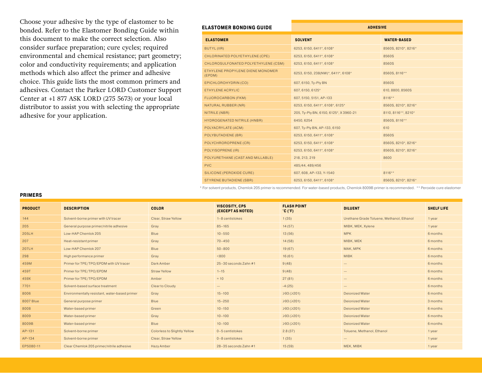Choose your adhesive by the type of elastomer to be bonded. Refer to the Elastomer Bonding Guide within this document to make the correct selection. Also consider surface preparation; cure cycles; required environmental and chemical resistance; part geometry; color and conductivity requirements; and application methods which also affect the primer and adhesive choice. This guide lists the most common primers and adhesives. Contact the Parker LORD Customer Support Center at +1 877 ASK LORD (275 5673) or your local distributor to assist you with selecting the appropriate adhesive for your application.

#### **ELASTOMER BONDING GUIDE**

| LASTOMER BONDING GUIDE                     | <b>ADHESIVE</b>                       |                     |  |  |  |
|--------------------------------------------|---------------------------------------|---------------------|--|--|--|
| <b>ELASTOMER</b>                           | <b>SOLVENT</b>                        | <b>WATER-BASED</b>  |  |  |  |
| BUTYL (IIR)                                | 6253, 6150, 6411*, 6108*              | 8560S, 8210*, 8216* |  |  |  |
| CHLORINATED POLYETHYLENE (CPE)             | 6253, 6150, 6411*, 6108*              | 8560S               |  |  |  |
| CHLOROSULFONATED POLYETHYLENE (CSM)        | 6253, 6150, 6411*, 6108*              | 8560S               |  |  |  |
| ETHYLENE PROPYLENE DIENE MONOMER<br>(EPDM) | 6253, 6150, 238(NW)*, 6411*, 6108*    | 8560S, 8116**       |  |  |  |
| EPICHLOROHYDRIN (CO)                       | 607, 6150, Ty-Ply BN                  | 8560S               |  |  |  |
| ETHYLENE ACRYLIC                           | 607, 6150, 6125*                      | 610, 8800, 8560S    |  |  |  |
| FLUOROCARBON (FKM)                         | 607, 5150, 5151, AP-133               | $8116**$            |  |  |  |
| NATURAL RUBBER (NR)                        | 6253, 6150, 6411*, 6108*, 6125*       | 8560S, 8210*, 8216* |  |  |  |
| NITRILE (NBR)                              | 205, Ty-Ply BN, 6150, 6125*, X3960-21 | 8110, 8116**, 8210* |  |  |  |
| HYDROGENATED NITRILE (HNBR)                | 6450, 6254                            | 8560S, 8116**       |  |  |  |
| POLYACRYLATE (ACM)                         | 607, Ty-Ply BN, AP-133, 6150          | 610                 |  |  |  |
| POLYBUTADIENE (BR)                         | 6253, 6150, 6411*, 6108*              | 8560S               |  |  |  |
| POLYCHROROPRENE (CR)                       | 6253, 6150, 6411*, 6108*              | 8560S, 8210*, 8216* |  |  |  |
| POLYISOPRENE (IR)                          | 6253, 6150, 6411*, 6108*              | 8560S, 8210*, 8216* |  |  |  |
| POLYURETHANE (CAST AND MILLABLE)           | 218, 213, 219                         | 8600                |  |  |  |
| <b>PVC</b>                                 | 485/44, 489/456                       |                     |  |  |  |
| SILICONE (PEROXIDE CURE)                   | 607, 608, AP-133, Y-1540              | $8116**$            |  |  |  |
| <b>STYRENE BUTADIENE (SBR)</b>             | 6253, 6150, 6411*, 6108*              | 8560S, 8210*, 8216* |  |  |  |
|                                            |                                       |                     |  |  |  |

\* For solvent products, Chemlok 205 primer is recommended. For water-based products, Chemlok 8009B primer is recommended. \*\* Peroxide cure elastomer

| <b>PRIMERS</b> |
|----------------|
|----------------|

| <b>PRODUCT</b>   | <b>DESCRIPTION</b>                            | <b>COLOR</b>                 | <b>VISCOSITY, CPS</b><br>(EXCEPT AS NOTED) | <b>FLASH POINT</b><br>$^{\circ}$ C ( $^{\circ}$ F) | <b>DILUENT</b>                            | <b>SHELF LIFE</b> |
|------------------|-----------------------------------------------|------------------------------|--------------------------------------------|----------------------------------------------------|-------------------------------------------|-------------------|
| 144              | Solvent-borne primer with UV tracer           | Clear, Straw Yellow          | 1-8 centistokes                            | 1(35)                                              | Urethane Grade Toluene, Methanol, Ethanol | 1 year            |
| 205              | General purpose primer/nitrile adhesive       | Gray                         | $85 - 165$                                 | 14(57)                                             | MIBK, MEK, Xylene                         | 1 year            |
| 205LH            | Low-HAP Chemlok 205                           | <b>Blue</b>                  | $10 - 550$                                 | 13(56)                                             | <b>MPK</b>                                | 6 months          |
| 207              | Heat-resistant primer                         | Gray                         | $70 - 450$                                 | 14(58)                                             | MIBK, MEK                                 | 6 months          |
| 207LH            | Low-HAP Chemlok 207                           | <b>Blue</b>                  | $50 - 800$                                 | 19(67)                                             | MAK, MPK                                  | 6 months          |
| 298              | High performance primer                       | Gray                         | < 800                                      | 16(61)                                             | <b>MIBK</b>                               | 6 months          |
| 459M             | Primer for TPE/TPO/EPDM with UV tracer        | Dark Amber                   | 25-30 seconds Zahn #1                      | 9(48)                                              | $\qquad \qquad -$                         | 6 months          |
| 459T             | Primer for TPE/TPO/EPDM                       | <b>Straw Yellow</b>          | $1 - 15$                                   | 9(48)                                              | $\qquad \qquad -$                         | 6 months          |
| 459X             | Primer for TPE/TPO/EPDM                       | Amber                        | $\approx$ 10                               | 27(81)                                             | $\qquad \qquad -$                         | 6 months          |
| 7701             | Solvent-based surface treatment               | Clear to Cloudy              | $\hspace{0.1mm}-\hspace{0.1mm}$            | $-4(25)$                                           | $\qquad \qquad -$                         | 6 months          |
| 8006             | Environmentally resistant, water-based primer | Gray                         | $15 - 100$                                 | $\geqslant$ 93 ( $\geqslant$ 201)                  | <b>Deionized Water</b>                    | 6 months          |
| <b>8007 Blue</b> | General purpose primer                        | <b>Blue</b>                  | $15 - 250$                                 | $\geqslant$ 93 ( $\geqslant$ 201)                  | <b>Deionized Water</b>                    | 3 months          |
| 8008             | Water-based primer                            | Green                        | $10 - 150$                                 | $\geqslant$ 93 ( $\geqslant$ 201)                  | <b>Deionized Water</b>                    | 6 months          |
| 8009             | Water-based primer                            | Gray                         | $10 - 100$                                 | $\geqslant$ 93 ( $\geqslant$ 201)                  | <b>Deionized Water</b>                    | 6 months          |
| 8009B            | Water-based primer                            | Blue                         | $10 - 100$                                 | ≥93 (>201)                                         | <b>Deionized Water</b>                    | 6 months          |
| AP-131           | Solvent-borne primer                          | Colorless to Slightly Yellow | 0-5 centistokes                            | 2.8(37)                                            | Toluene, Methanol, Ethanol                | 1 year            |
| AP-134           | Solvent-borne primer                          | Clear, Straw Yellow          | 0-8 centistokes                            | 1(35)                                              | $\hspace{0.1mm}-\hspace{0.1mm}$           | 1 year            |
| EP5080-11        | Clear Chemlok 205 primer/nitrile adhesive     | Hazy Amber                   | 28-35 seconds Zahn #1                      | 15(59)                                             | MEK, MIBK                                 | 1 year            |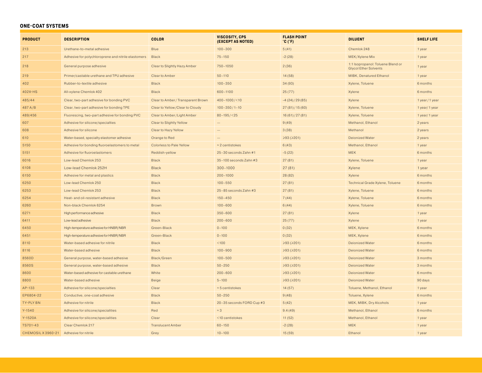#### **ONE-COAT SYSTEMS**

| <b>PRODUCT</b>                          | <b>DESCRIPTION</b>                                  | <b>COLOR</b>                       | <b>VISCOSITY, CPS</b><br>(EXCEPT AS NOTED) | <b>FLASH POINT</b><br>$^{\circ}$ C ( $^{\circ}$ F) | <b>DILUENT</b>                                                    | <b>SHELF LIFE</b> |
|-----------------------------------------|-----------------------------------------------------|------------------------------------|--------------------------------------------|----------------------------------------------------|-------------------------------------------------------------------|-------------------|
| 213                                     | Urethane-to-metal adhesive                          | Blue                               | $100 - 300$                                | 5(41)                                              | Chemlok 248                                                       | 1 year            |
| 217                                     | Adhesive for polychloroprene and nitrile elastomers | <b>Black</b>                       | $75 - 150$                                 | $-2(28)$                                           | MEK/Xylene Mix                                                    | 1 year            |
| 218                                     | General purpose adhesive                            | Clear to Slightly Hazy Amber       | 750-1050                                   | 2(36)                                              | 1:1 Isopropanol: Toluene Blend or<br><b>Glycol Ether Solvents</b> | 1 year            |
| 219                                     | Primer/castable urethane and TPU adhesive           | <b>Clear to Amber</b>              | $50 - 110$                                 | 14(58)                                             | MIBK, Denatured Ethanol                                           | 1 year            |
| 402                                     | Rubber-to-textile adhesive                          | <b>Black</b>                       | $100 - 350$                                | 34(93)                                             | Xylene, Toluene                                                   | 6 months          |
| 402X-HS                                 | All-xylene Chemlok 402                              | <b>Black</b>                       | 600-1100                                   | 25(77)                                             | Xylene                                                            | 6 months          |
| 485/44                                  | Clear, two-part adhesive for bonding PVC            | Clear to Amber / Transparent Brown | $400 - 1000 / < 10$                        | $-4(24)/29(85)$                                    | Xylene                                                            | 1 year / 1 year   |
| 487 A/B                                 | Clear, two-part adhesive for bonding TPE            | Clear to Yellow/Clear to Cloudy    | $100 - 350 / 1 - 10$                       | 27(81)/15(60)                                      | Xylene, Toluene                                                   | 1 year/1 year     |
| 489/456                                 | Fluorescing, two-part adhesive for bonding PVC      | Clear to Amber/Light Amber         | $80 - 195 / < 25$                          | 16(61)/27(81)                                      | Xylene, Toluene                                                   | 1 year/1 year     |
| 607                                     | Adhesive for silicone/specialties                   | Clear to Slightly Yellow           | $\overline{\phantom{0}}$                   | 9(49)                                              | Methanol, Ethanol                                                 | 2 years           |
| 608                                     | Adhesive for silicone                               | Clear to Hazy Yellow               |                                            | 3(38)                                              | Methanol                                                          | 2 years           |
| 610                                     | Water-based, specialty elastomer adhesive           | Orange to Red                      |                                            | $≥93$ ( $≥201$ )                                   | <b>Deionized Water</b>                                            | 2 years           |
| 5150                                    | Adhesive for bonding fluoroelastomers to metal      | Colorless to Pale Yellow           | $\approx$ 2 centistokes                    | 6(43)                                              | Methanol, Ethanol                                                 | 1 year            |
| 5151                                    | Adhesive for fluoroelastomers                       | Reddish-yellow                     | 25-30 seconds Zahn #1                      | $-5(22)$                                           | <b>MEK</b>                                                        | 6 months          |
| 6016                                    | Low-lead Chemlok 253                                | <b>Black</b>                       | 35-100 seconds Zahn #3                     | 27(81)                                             | Xylene, Toluene                                                   | 1 year            |
| 6108                                    | Low-lead Chemlok 252H                               | <b>Black</b>                       | $300 - 1000$                               | 27(81)                                             | Xylene                                                            | 1 year            |
| 6150                                    | Adhesive for metal and plastics                     | <b>Black</b>                       | $200 - 1000$                               | 28(82)                                             | Xylene                                                            | 6 months          |
| 6250                                    | Low-lead Chemlok 250                                | <b>Black</b>                       | $100 - 550$                                | 27(81)                                             | Technical Grade Xylene, Toluene                                   | 6 months          |
| 6253                                    | Low-lead Chemlok 253                                | <b>Black</b>                       | 25-85 seconds Zahn #3                      | 27(81)                                             | Xylene, Toluene                                                   | 6 months          |
| 6254                                    | Heat- and oil-resistant adhesive                    | <b>Black</b>                       | $150 - 450$                                | 7(44)                                              | Xylene, Toluene                                                   | 6 months          |
| 6260                                    | Non-black Chemlok 6254                              | Brown                              | $100 - 600$                                | 6(44)                                              | Xylene, Toluene                                                   | 6 months          |
| 6271                                    | High performance adhesive                           | <b>Black</b>                       | $350 - 600$                                | 27(81)                                             | Xylene                                                            | 1 year            |
| 6411                                    | Low-lead adhesive                                   | <b>Black</b>                       | $200 - 600$                                | 25(77)                                             | Xylene                                                            | 1 year            |
| 6450                                    | High-temperature adhesive for HNBR/NBR              | Green-Black                        | $0 - 100$                                  | 0(32)                                              | MEK, Xylene                                                       | 6 months          |
| 6451                                    | High-temperature adhesive for HNBR/NBR              | Green-Black                        | $0 - 100$                                  | 0(32)                                              | MEK, Xylene                                                       | 6 months          |
| 8110                                    | Water-based adhesive for nitrile                    | <b>Black</b>                       | < 100                                      | ≥93(≥201)                                          | <b>Deionized Water</b>                                            | 6 months          |
| 8116                                    | Water-based adhesive                                | <b>Black</b>                       | $100 - 900$                                | $≥93$ ( $≥201$ )                                   | <b>Deionized Water</b>                                            | 6 months          |
| 8560D                                   | General purpose, water-based adhesive               | Black/Green                        | $100 - 500$                                | ≥93(≥201)                                          | <b>Deionized Water</b>                                            | 3 months          |
| 8560S                                   | General purpose, water-based adhesive               | <b>Black</b>                       | $50 - 250$                                 | ≥93 (>201)                                         | <b>Deionized Water</b>                                            | 3 months          |
| 8600                                    | Water-based adhesive for castable urethane          | White                              | $200 - 600$                                | $≥93$ ( $≥201$ )                                   | Deionized Water                                                   | 6 months          |
| 8800                                    | Water-based adhesive                                | <b>Beige</b>                       | $5 - 100$                                  | $≥93$ ( $≥201$ )                                   | Deionized Water                                                   | 90 days           |
| AP-133                                  | Adhesive for silicone/specialties                   | Clear                              | $\approx$ 5 centistokes                    | 14(57)                                             | Toluene, Methanol, Ethanol                                        | 1 year            |
| EP6804-22                               | Conductive, one-coat adhesive                       | <b>Black</b>                       | $50 - 250$                                 | 9(48)                                              | Toluene, Xylene                                                   | 6 months          |
| TY-PLY BN                               | Adhesive for nitrile                                | <b>Black</b>                       | 20-35 seconds FORD Cup #3                  | 5(42)                                              | MEK, MIBK, Dry Alcohols                                           | 1 year            |
| $Y - 1540$                              | Adhesive for silicone/specialities                  | Red                                | $\approx$ 3                                | 9.4(49)                                            | Methanol, Ethanol                                                 | 6 months          |
| $Y-1520A$                               | Adhesive for silicone/specialities                  | Clear                              | <10 centistokes                            | 11(52)                                             | Methanol, Ethanol                                                 | 1 year            |
| TS701-43                                | Clear Chemlok 217                                   | <b>Translucent Amber</b>           | $60 - 150$                                 | $-2(28)$                                           | <b>MEK</b>                                                        | 1 year            |
| CHEMOSIL X 3960-21 Adhesive for nitrile |                                                     | Grey                               | $10 - 100$                                 | 15(59)                                             | Ethanol                                                           | 1 year            |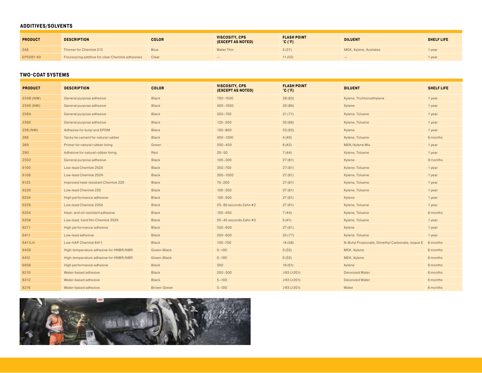#### **ADDITIVES/SOLVENTS**

| <b>PRODUCT</b> | <b>DESCRIPTION</b>                               | <b>COLOR</b> | VISCOSITY, CPS<br>(EXCEPT AS NOTED) | <b>FLASH POINT</b><br>$^{\circ}$ C ( $^{\circ}$ F) | <b>DILUENT</b>        | <b>SHELF LIFE</b> |
|----------------|--------------------------------------------------|--------------|-------------------------------------|----------------------------------------------------|-----------------------|-------------------|
| 248            | Thinner for Chemlok 213                          | <b>Blue</b>  | <b>Water Thin</b>                   | 3(37)                                              | MEK, Xylene, Acetates | 1 year            |
| EP5081-40      | Flourescing additive for clear Chemlok adhesives | Clear        | $\overline{\phantom{a}}$            | 11(52)                                             | $\sim$                | 1 year            |

#### **TWO-COAT SYSTEMS**

| <b>PRODUCT</b> | <b>DESCRIPTION</b>                     | <b>COLOR</b>       | <b>VISCOSITY, CPS</b><br>(EXCEPT AS NOTED) | <b>FLASH POINT</b><br>$^{\circ}$ C ( $^{\circ}$ F) | <b>DILUENT</b>                                   | <b>SHELF LIFE</b> |
|----------------|----------------------------------------|--------------------|--------------------------------------------|----------------------------------------------------|--------------------------------------------------|-------------------|
| 234B (NW)      | General purpose adhesive               | <b>Black</b>       | 700-1500                                   | 28(83)                                             | Xylene, Trichloroethylene                        | 1 year            |
| 234X (NW)      | General purpose adhesive               | <b>Black</b>       | $400 - 1000$                               | 30(86)                                             | Xylene                                           | 1 year            |
| 236A           | General purpose adhesive               | <b>Black</b>       | $300 - 700$                                | 21(71)                                             | Xylene, Toluene                                  | 1 year            |
| 236X           | General purpose adhesive               | <b>Black</b>       | $125 - 500$                                | 30(86)                                             | Xylene, Toluene                                  | 1 year            |
| 238 (NW)       | Adhesive for butyl and EPDM            | <b>Black</b>       | $150 - 800$                                | 33(92)                                             | Xylene                                           | 1 year            |
| 286            | Tacky tie cement for natural rubber    | <b>Black</b>       | 450-1200                                   | 4(40)                                              | Xylene, Toluene                                  | 6 months          |
| 289            | Primer for natural rubber lining       | Green              | $200 - 450$                                | 6(42)                                              | MEK/Xylene Mix                                   | 1 year            |
| 290            | Adhesive for natural rubber lining     | Red                | $20 - 50$                                  | 7(44)                                              | Xylene, Toluene                                  | 1 year            |
| 2332           | General purpose adhesive               | <b>Black</b>       | $100 - 300$                                | 27(81)                                             | Xylene                                           | 9 months          |
| 6100           | Low-lead Chemlok 252X                  | <b>Black</b>       | $350 - 700$                                | 27(81)                                             | Xylene, Toluene                                  | 1 year            |
| 6108           | Low-lead Chemlok 252H                  | <b>Black</b>       | $300 - 1000$                               | 27(81)                                             | Xylene, Toluene                                  | 1 year            |
| 6125           | Improved heat-resistant Chemlok 220    | <b>Black</b>       | $70 - 200$                                 | 27(81)                                             | Xylene, Toluene                                  | 1 year            |
| 6220           | Low-lead Chemlok 220                   | <b>Black</b>       | $100 - 300$                                | 27(81)                                             | Xylene, Toluene                                  | 1 year            |
| 6224           | High performance adhesive              | <b>Black</b>       | $100 - 300$                                | 27(81)                                             | Xylene                                           | 1 year            |
| 6225           | Low-lead Chemlok 225X                  | <b>Black</b>       | 25-80 seconds Zahn #2                      | 27(81)                                             | Xylene, Toluene                                  | 1 year            |
| 6254           | Heat- and oil-resistant adhesive       | <b>Black</b>       | $150 - 450$                                | 7(44)                                              | Xylene, Toluene                                  | 6 months          |
| 6258           | Low-lead, hard film Chemlok 252X       | <b>Black</b>       | 25-45 seconds Zahn #3                      | 5(41)                                              | Xylene, Toluene                                  | 1 year            |
| 6271           | High performance adhesive              | <b>Black</b>       | $350 - 600$                                | 27(81)                                             | Xylene                                           | 1 year            |
| 6411           | Low-lead adhesive                      | <b>Black</b>       | $200 - 600$                                | 25(77)                                             | Xylene, Toluene                                  | 1 year            |
| 6411LH         | Low-HAP Chemlok 6411                   | <b>Black</b>       | $100 - 700$                                | 14(58)                                             | N-Butyl Propionate, Dimethyl Carbonate, Isopar E | 6 months          |
| 6450           | High-temperature adhesive for HNBR/NBR | Green-Black        | $0 - 100$                                  | 0(32)                                              | MEK, Xylene                                      | 6 months          |
| 6451           | High-temperature adhesive for HNBR/NBR | Green-Black        | $0 - 100$                                  | 0(32)                                              | MEK, Xylene                                      | 6 months          |
| 6956           | High performance adhesive              | <b>Black</b>       | 300                                        | 16(61)                                             | Xylene                                           | 6 months          |
| 8210           | Water-based adhesive                   | <b>Black</b>       | $200 - 500$                                | $≥93$ ( $≥201$ )                                   | <b>Deionized Water</b>                           | 6 months          |
| 8212           | Water-based adhesive                   | <b>Black</b>       | $5 - 100$                                  | ≥93(≥201)                                          | <b>Deionized Water</b>                           | 6 months          |
| 8216           | Water-based adhesive                   | <b>Brown-Green</b> | $5 - 100$                                  | $\geqslant$ 93 ( $\geqslant$ 201)                  | Water                                            | 6 months          |